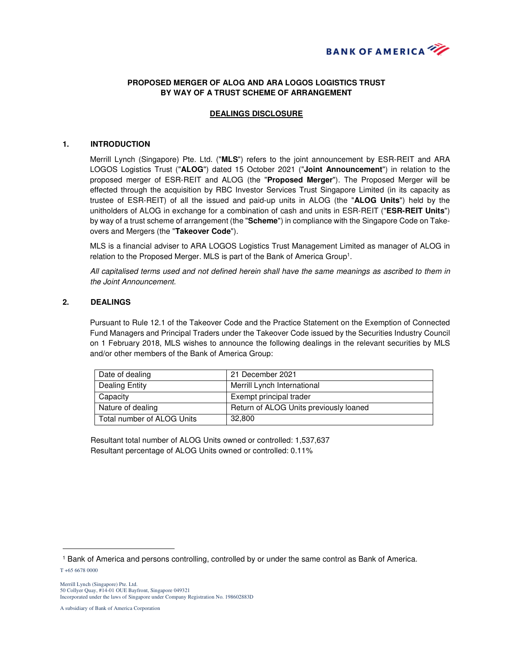

# **PROPOSED MERGER OF ALOG AND ARA LOGOS LOGISTICS TRUST BY WAY OF A TRUST SCHEME OF ARRANGEMENT**

## **DEALINGS DISCLOSURE**

#### **1. INTRODUCTION**

Merrill Lynch (Singapore) Pte. Ltd. ("**MLS**") refers to the joint announcement by ESR-REIT and ARA LOGOS Logistics Trust ("**ALOG**") dated 15 October 2021 ("**Joint Announcement**") in relation to the proposed merger of ESR-REIT and ALOG (the "**Proposed Merger**"). The Proposed Merger will be effected through the acquisition by RBC Investor Services Trust Singapore Limited (in its capacity as trustee of ESR-REIT) of all the issued and paid-up units in ALOG (the "**ALOG Units**") held by the unitholders of ALOG in exchange for a combination of cash and units in ESR-REIT ("**ESR-REIT Units**") by way of a trust scheme of arrangement (the "**Scheme**") in compliance with the Singapore Code on Takeovers and Mergers (the "**Takeover Code**").

MLS is a financial adviser to ARA LOGOS Logistics Trust Management Limited as manager of ALOG in relation to the Proposed Merger. MLS is part of the Bank of America Group<sup>1</sup>.

All capitalised terms used and not defined herein shall have the same meanings as ascribed to them in the Joint Announcement.

### **2. DEALINGS**

Pursuant to Rule 12.1 of the Takeover Code and the Practice Statement on the Exemption of Connected Fund Managers and Principal Traders under the Takeover Code issued by the Securities Industry Council on 1 February 2018, MLS wishes to announce the following dealings in the relevant securities by MLS and/or other members of the Bank of America Group:

| Date of dealing              | 21 December 2021                       |
|------------------------------|----------------------------------------|
| Dealing Entity               | Merrill Lynch International            |
| Capacity                     | Exempt principal trader                |
| Nature of dealing            | Return of ALOG Units previously loaned |
| l Total number of ALOG Units | 32.800                                 |

Resultant total number of ALOG Units owned or controlled: 1,537,637 Resultant percentage of ALOG Units owned or controlled: 0.11%

 $\overline{a}$ 

<sup>1</sup> Bank of America and persons controlling, controlled by or under the same control as Bank of America.

T +65 6678 0000